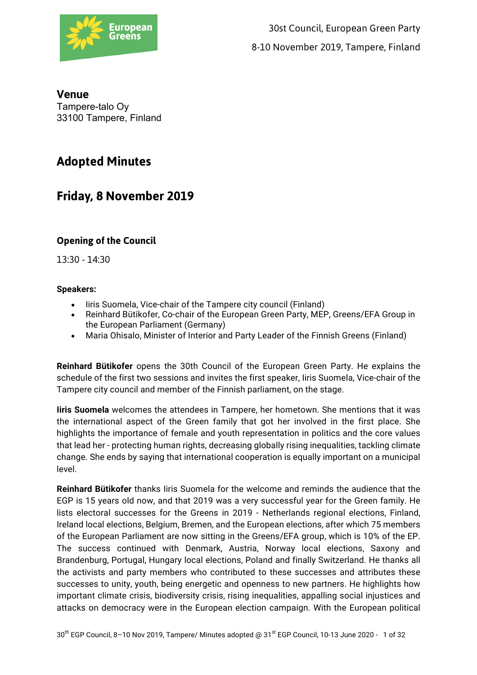

# **Venue** Tampere-talo Oy 33100 Tampere, Finland

# **Adopted Minutes**

# **Friday, 8 November 2019**

# **Opening of the Council**

13:30 - 14:30

# **Speakers:**

- Iiris Suomela, Vice-chair of the Tampere city council (Finland)
- Reinhard Bütikofer, Co-chair of the European Green Party, MEP, Greens/EFA Group in the European Parliament (Germany)
- Maria Ohisalo, Minister of Interior and Party Leader of the Finnish Greens (Finland)

**Reinhard Bütikofer** opens the 30th Council of the European Green Party. He explains the schedule of the first two sessions and invites the first speaker, Iiris Suomela, Vice-chair of the Tampere city council and member of the Finnish parliament, on the stage.

**Iiris Suomela** welcomes the attendees in Tampere, her hometown. She mentions that it was the international aspect of the Green family that got her involved in the first place. She highlights the importance of female and youth representation in politics and the core values that lead her - protecting human rights, decreasing globally rising inequalities, tackling climate change. She ends by saying that international cooperation is equally important on a municipal level.

**Reinhard Bütikofer** thanks Iiris Suomela for the welcome and reminds the audience that the EGP is 15 years old now, and that 2019 was a very successful year for the Green family. He lists electoral successes for the Greens in 2019 - Netherlands regional elections, Finland, Ireland local elections, Belgium, Bremen, and the European elections, after which 75 members of the European Parliament are now sitting in the Greens/EFA group, which is 10% of the EP. The success continued with Denmark, Austria, Norway local elections, Saxony and Brandenburg, Portugal, Hungary local elections, Poland and finally Switzerland. He thanks all the activists and party members who contributed to these successes and attributes these successes to unity, youth, being energetic and openness to new partners. He highlights how important climate crisis, biodiversity crisis, rising inequalities, appalling social injustices and attacks on democracy were in the European election campaign. With the European political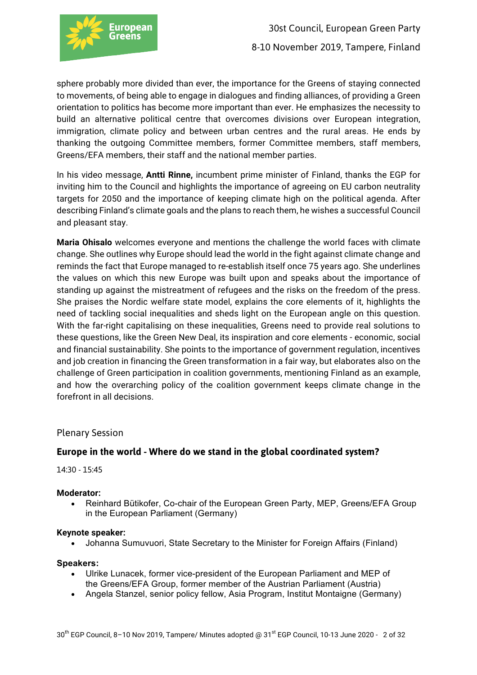

sphere probably more divided than ever, the importance for the Greens of staying connected to movements, of being able to engage in dialogues and finding alliances, of providing a Green orientation to politics has become more important than ever. He emphasizes the necessity to build an alternative political centre that overcomes divisions over European integration, immigration, climate policy and between urban centres and the rural areas. He ends by thanking the outgoing Committee members, former Committee members, staff members, Greens/EFA members, their staff and the national member parties.

In his video message, **Antti Rinne,** incumbent prime minister of Finland, thanks the EGP for inviting him to the Council and highlights the importance of agreeing on EU carbon neutrality targets for 2050 and the importance of keeping climate high on the political agenda. After describing Finland's climate goals and the plans to reach them, he wishes a successful Council and pleasant stay.

**Maria Ohisalo** welcomes everyone and mentions the challenge the world faces with climate change. She outlines why Europe should lead the world in the fight against climate change and reminds the fact that Europe managed to re-establish itself once 75 years ago. She underlines the values on which this new Europe was built upon and speaks about the importance of standing up against the mistreatment of refugees and the risks on the freedom of the press. She praises the Nordic welfare state model, explains the core elements of it, highlights the need of tackling social inequalities and sheds light on the European angle on this question. With the far-right capitalising on these inequalities, Greens need to provide real solutions to these questions, like the Green New Deal, its inspiration and core elements - economic, social and financial sustainability. She points to the importance of government regulation, incentives and job creation in financing the Green transformation in a fair way, but elaborates also on the challenge of Green participation in coalition governments, mentioning Finland as an example, and how the overarching policy of the coalition government keeps climate change in the forefront in all decisions.

Plenary Session

# **Europe in the world - Where do we stand in the global coordinated system?**

14:30 - 15:45

#### **Moderator:**

• Reinhard Bütikofer, Co-chair of the European Green Party, MEP, Greens/EFA Group in the European Parliament (Germany)

#### **Keynote speaker:**

• Johanna Sumuvuori, State Secretary to the Minister for Foreign Affairs (Finland)

**Speakers:**

- Ulrike Lunacek, former vice-president of the European Parliament and MEP of the Greens/EFA Group, former member of the Austrian Parliament (Austria)
- Angela Stanzel, senior policy fellow, Asia Program, Institut Montaigne (Germany)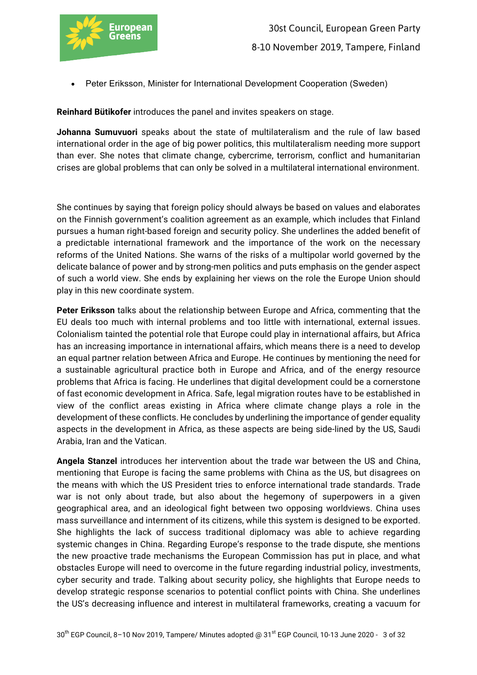

• Peter Eriksson, Minister for International Development Cooperation (Sweden)

**Reinhard Bütikofer** introduces the panel and invites speakers on stage.

**Johanna Sumuvuori** speaks about the state of multilateralism and the rule of law based international order in the age of big power politics, this multilateralism needing more support than ever. She notes that climate change, cybercrime, terrorism, conflict and humanitarian crises are global problems that can only be solved in a multilateral international environment.

She continues by saying that foreign policy should always be based on values and elaborates on the Finnish government's coalition agreement as an example, which includes that Finland pursues a human right-based foreign and security policy. She underlines the added benefit of a predictable international framework and the importance of the work on the necessary reforms of the United Nations. She warns of the risks of a multipolar world governed by the delicate balance of power and by strong-men politics and puts emphasis on the gender aspect of such a world view. She ends by explaining her views on the role the Europe Union should play in this new coordinate system.

**Peter Eriksson** talks about the relationship between Europe and Africa, commenting that the EU deals too much with internal problems and too little with international, external issues. Colonialism tainted the potential role that Europe could play in international affairs, but Africa has an increasing importance in international affairs, which means there is a need to develop an equal partner relation between Africa and Europe. He continues by mentioning the need for a sustainable agricultural practice both in Europe and Africa, and of the energy resource problems that Africa is facing. He underlines that digital development could be a cornerstone of fast economic development in Africa. Safe, legal migration routes have to be established in view of the conflict areas existing in Africa where climate change plays a role in the development of these conflicts. He concludes by underlining the importance of gender equality aspects in the development in Africa, as these aspects are being side-lined by the US, Saudi Arabia, Iran and the Vatican.

**Angela Stanzel** introduces her intervention about the trade war between the US and China, mentioning that Europe is facing the same problems with China as the US, but disagrees on the means with which the US President tries to enforce international trade standards. Trade war is not only about trade, but also about the hegemony of superpowers in a given geographical area, and an ideological fight between two opposing worldviews. China uses mass surveillance and internment of its citizens, while this system is designed to be exported. She highlights the lack of success traditional diplomacy was able to achieve regarding systemic changes in China. Regarding Europe's response to the trade dispute, she mentions the new proactive trade mechanisms the European Commission has put in place, and what obstacles Europe will need to overcome in the future regarding industrial policy, investments, cyber security and trade. Talking about security policy, she highlights that Europe needs to develop strategic response scenarios to potential conflict points with China. She underlines the US's decreasing influence and interest in multilateral frameworks, creating a vacuum for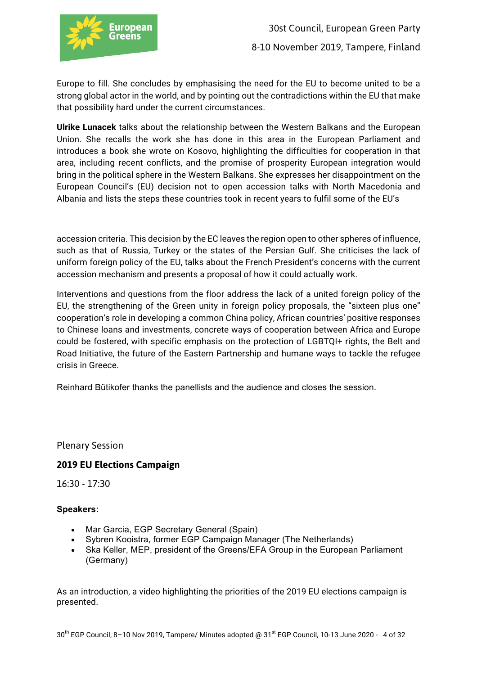

Europe to fill. She concludes by emphasising the need for the EU to become united to be a strong global actor in the world, and by pointing out the contradictions within the EU that make that possibility hard under the current circumstances.

**Ulrike Lunacek** talks about the relationship between the Western Balkans and the European Union. She recalls the work she has done in this area in the European Parliament and introduces a book she wrote on Kosovo, highlighting the difficulties for cooperation in that area, including recent conflicts, and the promise of prosperity European integration would bring in the political sphere in the Western Balkans. She expresses her disappointment on the European Council's (EU) decision not to open accession talks with North Macedonia and Albania and lists the steps these countries took in recent years to fulfil some of the EU's

accession criteria. This decision by the EC leaves the region open to other spheres of influence, such as that of Russia, Turkey or the states of the Persian Gulf. She criticises the lack of uniform foreign policy of the EU, talks about the French President's concerns with the current accession mechanism and presents a proposal of how it could actually work.

Interventions and questions from the floor address the lack of a united foreign policy of the EU, the strengthening of the Green unity in foreign policy proposals, the "sixteen plus one" cooperation's role in developing a common China policy, African countries' positive responses to Chinese loans and investments, concrete ways of cooperation between Africa and Europe could be fostered, with specific emphasis on the protection of LGBTQI+ rights, the Belt and Road Initiative, the future of the Eastern Partnership and humane ways to tackle the refugee crisis in Greece.

Reinhard Bütikofer thanks the panellists and the audience and closes the session.

Plenary Session

# **2019 EU Elections Campaign**

16:30 - 17:30

#### **Speakers:**

- Mar Garcia, EGP Secretary General (Spain)
- Sybren Kooistra, former EGP Campaign Manager (The Netherlands)
- Ska Keller, MEP, president of the Greens/EFA Group in the European Parliament (Germany)

As an introduction, a video highlighting the priorities of the 2019 EU elections campaign is presented.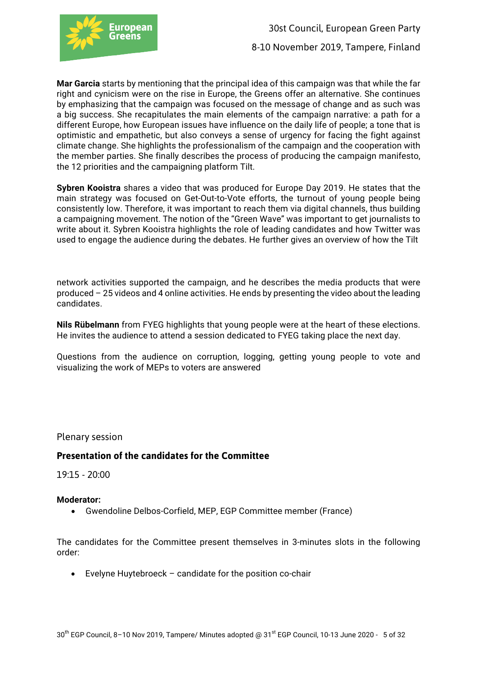

**Mar Garcia** starts by mentioning that the principal idea of this campaign was that while the far right and cynicism were on the rise in Europe, the Greens offer an alternative. She continues by emphasizing that the campaign was focused on the message of change and as such was a big success. She recapitulates the main elements of the campaign narrative: a path for a different Europe, how European issues have influence on the daily life of people; a tone that is optimistic and empathetic, but also conveys a sense of urgency for facing the fight against climate change. She highlights the professionalism of the campaign and the cooperation with the member parties. She finally describes the process of producing the campaign manifesto, the 12 priorities and the campaigning platform Tilt.

**Sybren Kooistra** shares a video that was produced for Europe Day 2019. He states that the main strategy was focused on Get-Out-to-Vote efforts, the turnout of young people being consistently low. Therefore, it was important to reach them via digital channels, thus building a campaigning movement. The notion of the "Green Wave" was important to get journalists to write about it. Sybren Kooistra highlights the role of leading candidates and how Twitter was used to engage the audience during the debates. He further gives an overview of how the Tilt

network activities supported the campaign, and he describes the media products that were produced – 25 videos and 4 online activities. He ends by presenting the video about the leading candidates.

**Nils Rübelmann** from FYEG highlights that young people were at the heart of these elections. He invites the audience to attend a session dedicated to FYEG taking place the next day.

Questions from the audience on corruption, logging, getting young people to vote and visualizing the work of MEPs to voters are answered

Plenary session

# **Presentation of the candidates for the Committee**

19:15 - 20:00

#### **Moderator:**

• Gwendoline Delbos-Corfield, MEP, EGP Committee member (France)

The candidates for the Committee present themselves in 3-minutes slots in the following order:

• Evelyne Huytebroeck – candidate for the position co-chair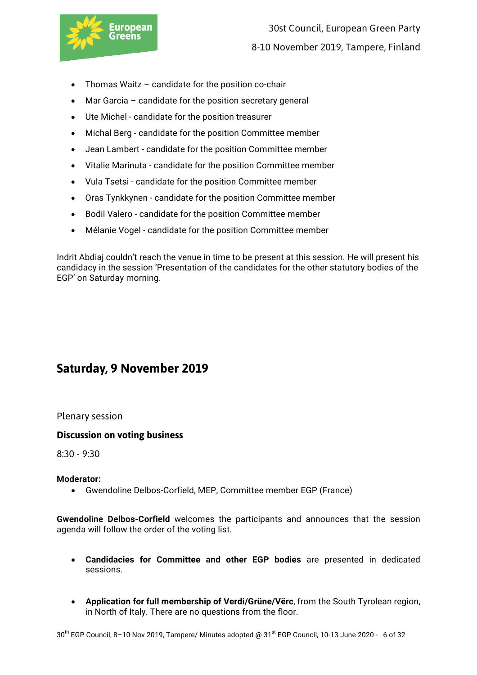

- Thomas Waitz candidate for the position co-chair
- Mar Garcia candidate for the position secretary general
- Ute Michel candidate for the position treasurer
- Michal Berg candidate for the position Committee member
- Jean Lambert candidate for the position Committee member
- Vitalie Marinuta candidate for the position Committee member
- Vula Tsetsi candidate for the position Committee member
- Oras Tynkkynen candidate for the position Committee member
- Bodil Valero candidate for the position Committee member
- Mélanie Vogel candidate for the position Committee member

Indrit Abdiaj couldn't reach the venue in time to be present at this session. He will present his candidacy in the session 'Presentation of the candidates for the other statutory bodies of the EGP' on Saturday morning.

# **Saturday, 9 November 2019**

Plenary session

# **Discussion on voting business**

8:30 - 9:30

#### **Moderator:**

• Gwendoline Delbos-Corfield, MEP, Committee member EGP (France)

**Gwendoline Delbos-Corfield** welcomes the participants and announces that the session agenda will follow the order of the voting list.

- **Candidacies for Committee and other EGP bodies** are presented in dedicated sessions.
- **Application for full membership of Verdi/Grüne/Vërc**, from the South Tyrolean region, in North of Italy. There are no questions from the floor.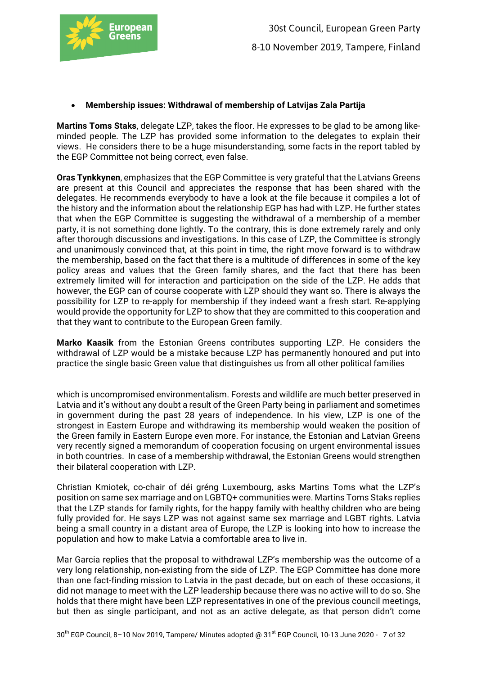

## • **Membership issues: Withdrawal of membership of Latvijas Zala Partija**

**Martins Toms Staks**, delegate LZP, takes the floor. He expresses to be glad to be among likeminded people. The LZP has provided some information to the delegates to explain their views. He considers there to be a huge misunderstanding, some facts in the report tabled by the EGP Committee not being correct, even false.

**Oras Tynkkynen**, emphasizes that the EGP Committee is very grateful that the Latvians Greens are present at this Council and appreciates the response that has been shared with the delegates. He recommends everybody to have a look at the file because it compiles a lot of the history and the information about the relationship EGP has had with LZP. He further states that when the EGP Committee is suggesting the withdrawal of a membership of a member party, it is not something done lightly. To the contrary, this is done extremely rarely and only after thorough discussions and investigations. In this case of LZP, the Committee is strongly and unanimously convinced that, at this point in time, the right move forward is to withdraw the membership, based on the fact that there is a multitude of differences in some of the key policy areas and values that the Green family shares, and the fact that there has been extremely limited will for interaction and participation on the side of the LZP. He adds that however, the EGP can of course cooperate with LZP should they want so. There is always the possibility for LZP to re-apply for membership if they indeed want a fresh start. Re-applying would provide the opportunity for LZP to show that they are committed to this cooperation and that they want to contribute to the European Green family.

**Marko Kaasik** from the Estonian Greens contributes supporting LZP. He considers the withdrawal of LZP would be a mistake because LZP has permanently honoured and put into practice the single basic Green value that distinguishes us from all other political families

which is uncompromised environmentalism. Forests and wildlife are much better preserved in Latvia and it's without any doubt a result of the Green Party being in parliament and sometimes in government during the past 28 years of independence. In his view, LZP is one of the strongest in Eastern Europe and withdrawing its membership would weaken the position of the Green family in Eastern Europe even more. For instance, the Estonian and Latvian Greens very recently signed a memorandum of cooperation focusing on urgent environmental issues in both countries. In case of a membership withdrawal, the Estonian Greens would strengthen their bilateral cooperation with LZP.

Christian Kmiotek, co-chair of déi gréng Luxembourg, asks Martins Toms what the LZP's position on same sex marriage and on LGBTQ+ communities were. Martins Toms Staks replies that the LZP stands for family rights, for the happy family with healthy children who are being fully provided for. He says LZP was not against same sex marriage and LGBT rights. Latvia being a small country in a distant area of Europe, the LZP is looking into how to increase the population and how to make Latvia a comfortable area to live in.

Mar Garcia replies that the proposal to withdrawal LZP's membership was the outcome of a very long relationship, non-existing from the side of LZP. The EGP Committee has done more than one fact-finding mission to Latvia in the past decade, but on each of these occasions, it did not manage to meet with the LZP leadership because there was no active will to do so. She holds that there might have been LZP representatives in one of the previous council meetings, but then as single participant, and not as an active delegate, as that person didn't come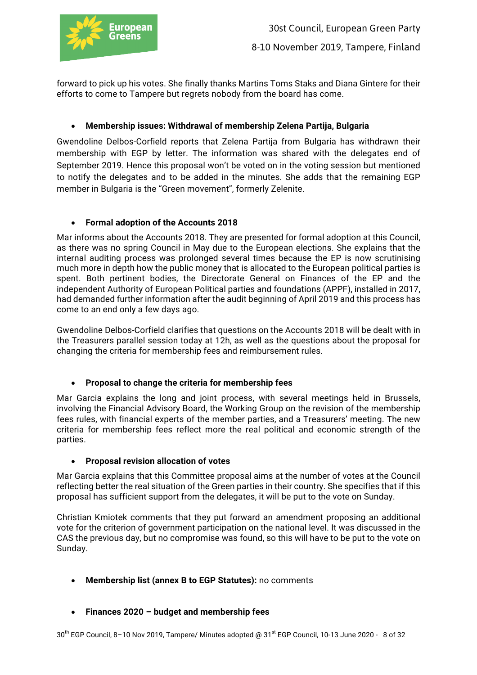

forward to pick up his votes. She finally thanks Martins Toms Staks and Diana Gintere for their efforts to come to Tampere but regrets nobody from the board has come.

# • **Membership issues: Withdrawal of membership Zelena Partija, Bulgaria**

Gwendoline Delbos-Corfield reports that Zelena Partija from Bulgaria has withdrawn their membership with EGP by letter. The information was shared with the delegates end of September 2019. Hence this proposal won't be voted on in the voting session but mentioned to notify the delegates and to be added in the minutes. She adds that the remaining EGP member in Bulgaria is the "Green movement", formerly Zelenite.

## • **Formal adoption of the Accounts 2018**

Mar informs about the Accounts 2018. They are presented for formal adoption at this Council, as there was no spring Council in May due to the European elections. She explains that the internal auditing process was prolonged several times because the EP is now scrutinising much more in depth how the public money that is allocated to the European political parties is spent. Both pertinent bodies, the Directorate General on Finances of the EP and the independent Authority of European Political parties and foundations (APPF), installed in 2017, had demanded further information after the audit beginning of April 2019 and this process has come to an end only a few days ago.

Gwendoline Delbos-Corfield clarifies that questions on the Accounts 2018 will be dealt with in the Treasurers parallel session today at 12h, as well as the questions about the proposal for changing the criteria for membership fees and reimbursement rules.

# • **Proposal to change the criteria for membership fees**

Mar Garcia explains the long and joint process, with several meetings held in Brussels, involving the Financial Advisory Board, the Working Group on the revision of the membership fees rules, with financial experts of the member parties, and a Treasurers' meeting. The new criteria for membership fees reflect more the real political and economic strength of the parties.

#### • **Proposal revision allocation of votes**

Mar Garcia explains that this Committee proposal aims at the number of votes at the Council reflecting better the real situation of the Green parties in their country. She specifies that if this proposal has sufficient support from the delegates, it will be put to the vote on Sunday.

Christian Kmiotek comments that they put forward an amendment proposing an additional vote for the criterion of government participation on the national level. It was discussed in the CAS the previous day, but no compromise was found, so this will have to be put to the vote on Sunday.

- **Membership list (annex B to EGP Statutes):** no comments
- **Finances 2020 – budget and membership fees**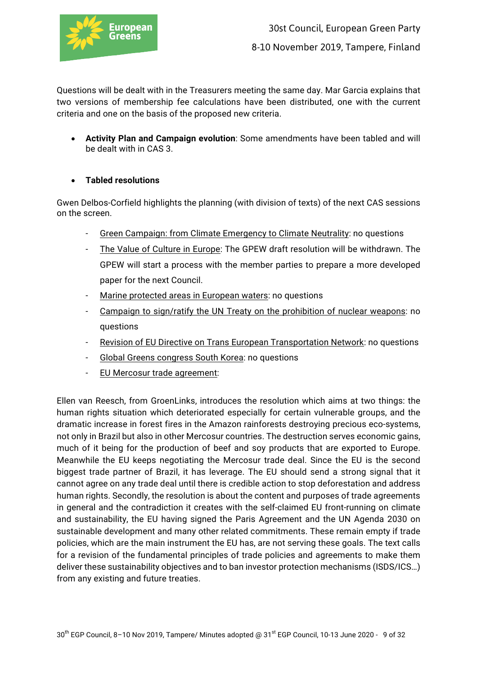

Questions will be dealt with in the Treasurers meeting the same day. Mar Garcia explains that two versions of membership fee calculations have been distributed, one with the current criteria and one on the basis of the proposed new criteria.

- **Activity Plan and Campaign evolution**: Some amendments have been tabled and will be dealt with in CAS 3.
- **Tabled resolutions**

Gwen Delbos-Corfield highlights the planning (with division of texts) of the next CAS sessions on the screen.

- Green Campaign: from Climate Emergency to Climate Neutrality: no questions
- The Value of Culture in Europe: The GPEW draft resolution will be withdrawn. The GPEW will start a process with the member parties to prepare a more developed paper for the next Council.
- Marine protected areas in European waters: no questions
- Campaign to sign/ratify the UN Treaty on the prohibition of nuclear weapons: no questions
- Revision of EU Directive on Trans European Transportation Network: no questions
- Global Greens congress South Korea: no questions
- EU Mercosur trade agreement:

Ellen van Reesch, from GroenLinks, introduces the resolution which aims at two things: the human rights situation which deteriorated especially for certain vulnerable groups, and the dramatic increase in forest fires in the Amazon rainforests destroying precious eco-systems, not only in Brazil but also in other Mercosur countries. The destruction serves economic gains, much of it being for the production of beef and soy products that are exported to Europe. Meanwhile the EU keeps negotiating the Mercosur trade deal. Since the EU is the second biggest trade partner of Brazil, it has leverage. The EU should send a strong signal that it cannot agree on any trade deal until there is credible action to stop deforestation and address human rights. Secondly, the resolution is about the content and purposes of trade agreements in general and the contradiction it creates with the self-claimed EU front-running on climate and sustainability, the EU having signed the Paris Agreement and the UN Agenda 2030 on sustainable development and many other related commitments. These remain empty if trade policies, which are the main instrument the EU has, are not serving these goals. The text calls for a revision of the fundamental principles of trade policies and agreements to make them deliver these sustainability objectives and to ban investor protection mechanisms (ISDS/ICS…) from any existing and future treaties.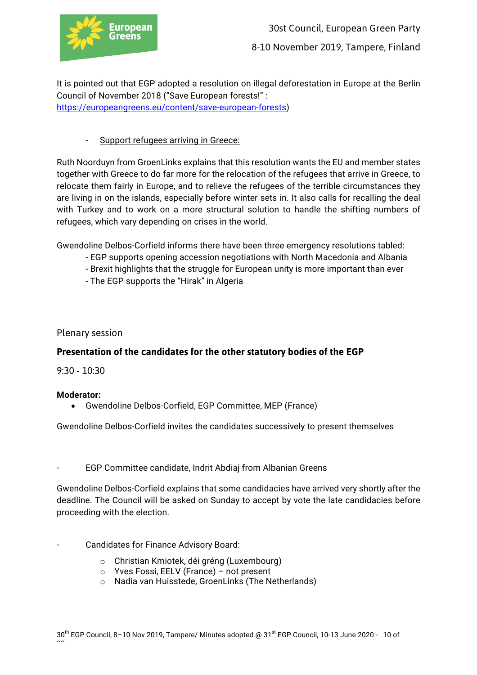

It is pointed out that EGP adopted a resolution on illegal deforestation in Europe at the Berlin Council of November 2018 ("Save European forests!" : https://europeangreens.eu/content/save-european-forests)

# - Support refugees arriving in Greece:

Ruth Noorduyn from GroenLinks explains that this resolution wants the EU and member states together with Greece to do far more for the relocation of the refugees that arrive in Greece, to relocate them fairly in Europe, and to relieve the refugees of the terrible circumstances they are living in on the islands, especially before winter sets in. It also calls for recalling the deal with Turkey and to work on a more structural solution to handle the shifting numbers of refugees, which vary depending on crises in the world.

Gwendoline Delbos-Corfield informs there have been three emergency resolutions tabled:

- EGP supports opening accession negotiations with North Macedonia and Albania
- Brexit highlights that the struggle for European unity is more important than ever
- The EGP supports the "Hirak" in Algeria

# Plenary session

# **Presentation of the candidates for the other statutory bodies of the EGP**

9:30 - 10:30

#### **Moderator:**

• Gwendoline Delbos-Corfield, EGP Committee, MEP (France)

Gwendoline Delbos-Corfield invites the candidates successively to present themselves

EGP Committee candidate, Indrit Abdiaj from Albanian Greens

Gwendoline Delbos-Corfield explains that some candidacies have arrived very shortly after the deadline. The Council will be asked on Sunday to accept by vote the late candidacies before proceeding with the election.

- Candidates for Finance Advisory Board:
	- o Christian Kmiotek, déi gréng (Luxembourg)
	- o Yves Fossi, EELV (France) not present
	- o Nadia van Huisstede, GroenLinks (The Netherlands)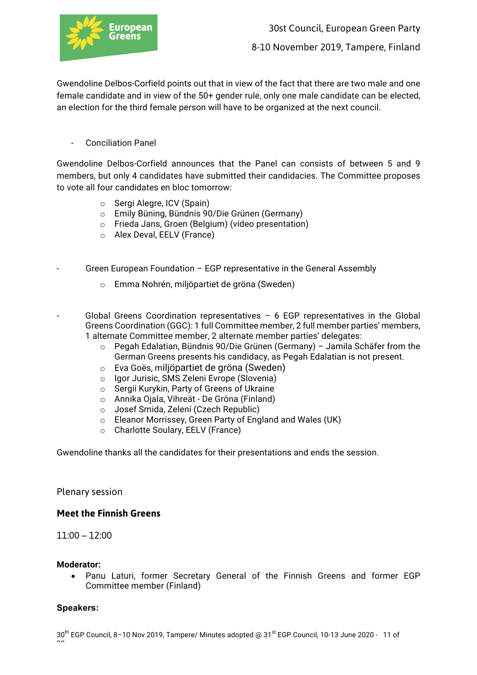

Gwendoline Delbos-Corfield points out that in view of the fact that there are two male and one female candidate and in view of the 50+ gender rule, only one male candidate can be elected, an election for the third female person will have to be organized at the next council.

- Conciliation Panel

Gwendoline Delbos-Corfield announces that the Panel can consists of between 5 and 9 members, but only 4 candidates have submitted their candidacies. The Committee proposes to vote all four candidates en bloc tomorrow:

- o Sergi Alegre, ICV (Spain)
- o Emily Büning, Bündnis 90/Die Grünen (Germany)
- o Frieda Jans, Groen (Belgium) (video presentation)
- o Alex Deval, EELV (France)
- Green European Foundation EGP representative in the General Assembly
	- o Emma Nohrén, miljöpartiet de gröna (Sweden)
- Global Greens Coordination representatives  $-$  6 EGP representatives in the Global Greens Coordination (GGC): 1 full Committee member, 2 full member parties' members, 1 alternate Committee member, 2 alternate member parties' delegates:
	- $\circ$  Pegah Edalatian, Bündnis 90/Die Grünen (Germany) Jamila Schäfer from the German Greens presents his candidacy, as Pegah Edalatian is not present.
	- o Eva Goës, miljöpartiet de gröna (Sweden)
	- o Igor Jurisic, SMS Zeleni Evrope (Slovenia)
	- o Sergii Kurykin, Party of Greens of Ukraine
	- o Annika Ojala, Vihreät De Gröna (Finland)
	- o Josef Smida, Zelení (Czech Republic)
	- o Eleanor Morrissey, Green Party of England and Wales (UK)
	- o Charlotte Soulary, EELV (France)

Gwendoline thanks all the candidates for their presentations and ends the session.

Plenary session

#### **Meet the Finnish Greens**

11:00 – 12:00

#### **Moderator:**

• Panu Laturi, former Secretary General of the Finnish Greens and former EGP Committee member (Finland)

#### **Speakers:**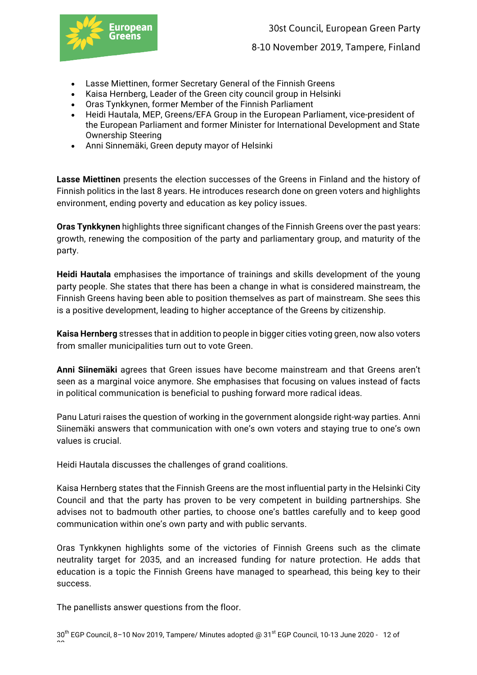

8-10 November 2019, Tampere, Finland

- Lasse Miettinen, former Secretary General of the Finnish Greens
- Kaisa Hernberg, Leader of the Green city council group in Helsinki
- Oras Tynkkynen, former Member of the Finnish Parliament
- Heidi Hautala, MEP, Greens/EFA Group in the European Parliament, vice-president of the European Parliament and former Minister for International Development and State Ownership Steering
- Anni Sinnemäki, Green deputy mayor of Helsinki

**Lasse Miettinen** presents the election successes of the Greens in Finland and the history of Finnish politics in the last 8 years. He introduces research done on green voters and highlights environment, ending poverty and education as key policy issues.

**Oras Tynkkynen** highlights three significant changes of the Finnish Greens over the past years: growth, renewing the composition of the party and parliamentary group, and maturity of the party.

**Heidi Hautala** emphasises the importance of trainings and skills development of the young party people. She states that there has been a change in what is considered mainstream, the Finnish Greens having been able to position themselves as part of mainstream. She sees this is a positive development, leading to higher acceptance of the Greens by citizenship.

**Kaisa Hernberg** stresses that in addition to people in bigger cities voting green, now also voters from smaller municipalities turn out to vote Green.

**Anni Siinemäki** agrees that Green issues have become mainstream and that Greens aren't seen as a marginal voice anymore. She emphasises that focusing on values instead of facts in political communication is beneficial to pushing forward more radical ideas.

Panu Laturi raises the question of working in the government alongside right-way parties. Anni Siinemäki answers that communication with one's own voters and staying true to one's own values is crucial.

Heidi Hautala discusses the challenges of grand coalitions.

Kaisa Hernberg states that the Finnish Greens are the most influential party in the Helsinki City Council and that the party has proven to be very competent in building partnerships. She advises not to badmouth other parties, to choose one's battles carefully and to keep good communication within one's own party and with public servants.

Oras Tynkkynen highlights some of the victories of Finnish Greens such as the climate neutrality target for 2035, and an increased funding for nature protection. He adds that education is a topic the Finnish Greens have managed to spearhead, this being key to their success.

The panellists answer questions from the floor.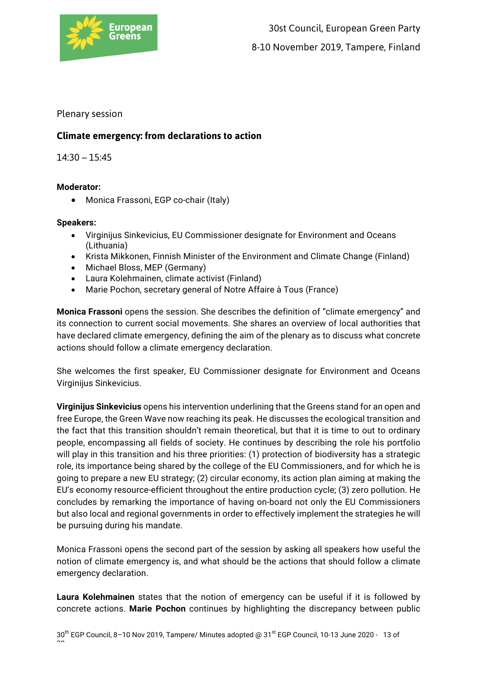

Plenary session

# **Climate emergency: from declarations to action**

# 14:30 – 15:45

# **Moderator:**

• Monica Frassoni, EGP co-chair (Italy)

## **Speakers:**

- Virginijus Sinkevicius, EU Commissioner designate for Environment and Oceans (Lithuania)
- Krista Mikkonen, Finnish Minister of the Environment and Climate Change (Finland)
- Michael Bloss, MEP (Germany)
- Laura Kolehmainen, climate activist (Finland)
- Marie Pochon, secretary general of Notre Affaire à Tous (France)

**Monica Frassoni** opens the session. She describes the definition of "climate emergency" and its connection to current social movements. She shares an overview of local authorities that have declared climate emergency, defining the aim of the plenary as to discuss what concrete actions should follow a climate emergency declaration.

She welcomes the first speaker, EU Commissioner designate for Environment and Oceans Virginijus Sinkevicius.

**Virginijus Sinkevicius** opens his intervention underlining that the Greens stand for an open and free Europe, the Green Wave now reaching its peak. He discusses the ecological transition and the fact that this transition shouldn't remain theoretical, but that it is time to out to ordinary people, encompassing all fields of society. He continues by describing the role his portfolio will play in this transition and his three priorities: (1) protection of biodiversity has a strategic role, its importance being shared by the college of the EU Commissioners, and for which he is going to prepare a new EU strategy; (2) circular economy, its action plan aiming at making the EU's economy resource-efficient throughout the entire production cycle; (3) zero pollution. He concludes by remarking the importance of having on-board not only the EU Commissioners but also local and regional governments in order to effectively implement the strategies he will be pursuing during his mandate.

Monica Frassoni opens the second part of the session by asking all speakers how useful the notion of climate emergency is, and what should be the actions that should follow a climate emergency declaration.

**Laura Kolehmainen** states that the notion of emergency can be useful if it is followed by concrete actions. **Marie Pochon** continues by highlighting the discrepancy between public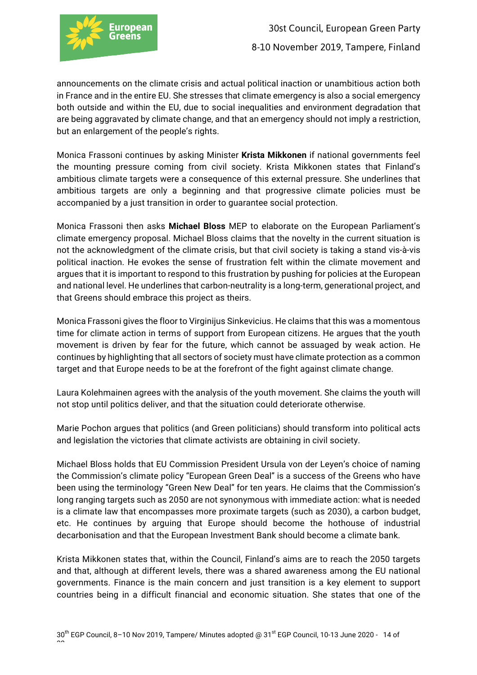

announcements on the climate crisis and actual political inaction or unambitious action both in France and in the entire EU. She stresses that climate emergency is also a social emergency both outside and within the EU, due to social inequalities and environment degradation that are being aggravated by climate change, and that an emergency should not imply a restriction, but an enlargement of the people's rights.

Monica Frassoni continues by asking Minister **Krista Mikkonen** if national governments feel the mounting pressure coming from civil society. Krista Mikkonen states that Finland's ambitious climate targets were a consequence of this external pressure. She underlines that ambitious targets are only a beginning and that progressive climate policies must be accompanied by a just transition in order to guarantee social protection.

Monica Frassoni then asks **Michael Bloss** MEP to elaborate on the European Parliament's climate emergency proposal. Michael Bloss claims that the novelty in the current situation is not the acknowledgment of the climate crisis, but that civil society is taking a stand vis-à-vis political inaction. He evokes the sense of frustration felt within the climate movement and argues that it is important to respond to this frustration by pushing for policies at the European and national level. He underlines that carbon-neutrality is a long-term, generational project, and that Greens should embrace this project as theirs.

Monica Frassoni gives the floor to Virginijus Sinkevicius. He claims that this was a momentous time for climate action in terms of support from European citizens. He argues that the youth movement is driven by fear for the future, which cannot be assuaged by weak action. He continues by highlighting that all sectors of society must have climate protection as a common target and that Europe needs to be at the forefront of the fight against climate change.

Laura Kolehmainen agrees with the analysis of the youth movement. She claims the youth will not stop until politics deliver, and that the situation could deteriorate otherwise.

Marie Pochon argues that politics (and Green politicians) should transform into political acts and legislation the victories that climate activists are obtaining in civil society.

Michael Bloss holds that EU Commission President Ursula von der Leyen's choice of naming the Commission's climate policy "European Green Deal" is a success of the Greens who have been using the terminology "Green New Deal" for ten years. He claims that the Commission's long ranging targets such as 2050 are not synonymous with immediate action: what is needed is a climate law that encompasses more proximate targets (such as 2030), a carbon budget, etc. He continues by arguing that Europe should become the hothouse of industrial decarbonisation and that the European Investment Bank should become a climate bank.

Krista Mikkonen states that, within the Council, Finland's aims are to reach the 2050 targets and that, although at different levels, there was a shared awareness among the EU national governments. Finance is the main concern and just transition is a key element to support countries being in a difficult financial and economic situation. She states that one of the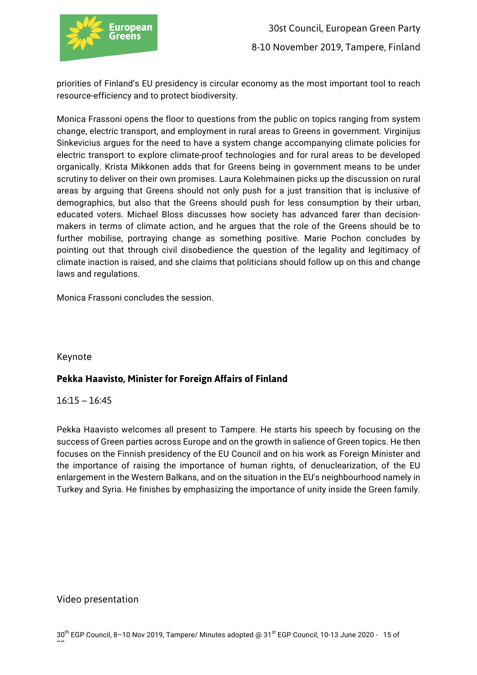

priorities of Finland's EU presidency is circular economy as the most important tool to reach resource-efficiency and to protect biodiversity.

Monica Frassoni opens the floor to questions from the public on topics ranging from system change, electric transport, and employment in rural areas to Greens in government. Virginijus Sinkevicius argues for the need to have a system change accompanying climate policies for electric transport to explore climate-proof technologies and for rural areas to be developed organically. Krista Mikkonen adds that for Greens being in government means to be under scrutiny to deliver on their own promises. Laura Kolehmainen picks up the discussion on rural areas by arguing that Greens should not only push for a just transition that is inclusive of demographics, but also that the Greens should push for less consumption by their urban, educated voters. Michael Bloss discusses how society has advanced farer than decisionmakers in terms of climate action, and he argues that the role of the Greens should be to further mobilise, portraying change as something positive. Marie Pochon concludes by pointing out that through civil disobedience the question of the legality and legitimacy of climate inaction is raised, and she claims that politicians should follow up on this and change laws and regulations.

Monica Frassoni concludes the session.

# Keynote

# **Pekka Haavisto, Minister for Foreign Affairs of Finland**

# 16:15 – 16:45

Pekka Haavisto welcomes all present to Tampere. He starts his speech by focusing on the success of Green parties across Europe and on the growth in salience of Green topics. He then focuses on the Finnish presidency of the EU Council and on his work as Foreign Minister and the importance of raising the importance of human rights, of denuclearization, of the EU enlargement in the Western Balkans, and on the situation in the EU's neighbourhood namely in Turkey and Syria. He finishes by emphasizing the importance of unity inside the Green family.

# Video presentation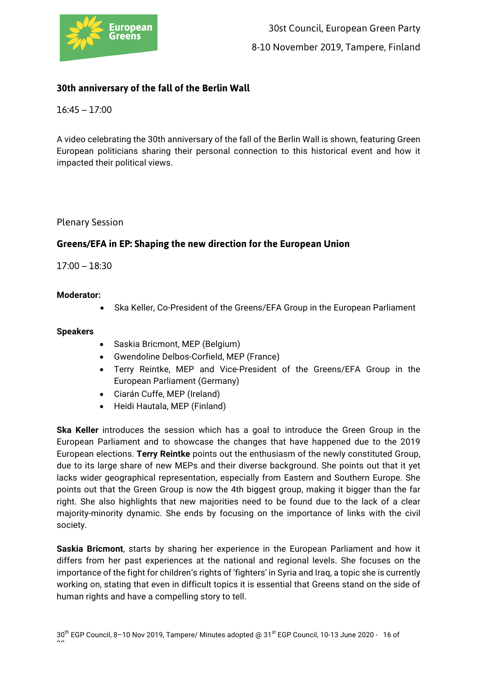

# **30th anniversary of the fall of the Berlin Wall**

16:45 – 17:00

A video celebrating the 30th anniversary of the fall of the Berlin Wall is shown, featuring Green European politicians sharing their personal connection to this historical event and how it impacted their political views.

Plenary Session

# **Greens/EFA in EP: Shaping the new direction for the European Union**

17:00 – 18:30

## **Moderator:**

• Ska Keller, Co-President of the Greens/EFA Group in the European Parliament

#### **Speakers**

- Saskia Bricmont, MEP (Belgium)
- Gwendoline Delbos-Corfield, MEP (France)
- Terry Reintke, MEP and Vice-President of the Greens/EFA Group in the European Parliament (Germany)
- Ciarán Cuffe, MEP (Ireland)
- Heidi Hautala, MEP (Finland)

**Ska Keller** introduces the session which has a goal to introduce the Green Group in the European Parliament and to showcase the changes that have happened due to the 2019 European elections. **Terry Reintke** points out the enthusiasm of the newly constituted Group, due to its large share of new MEPs and their diverse background. She points out that it yet lacks wider geographical representation, especially from Eastern and Southern Europe. She points out that the Green Group is now the 4th biggest group, making it bigger than the far right. She also highlights that new majorities need to be found due to the lack of a clear majority-minority dynamic. She ends by focusing on the importance of links with the civil society.

**Saskia Bricmont**, starts by sharing her experience in the European Parliament and how it differs from her past experiences at the national and regional levels. She focuses on the importance of the fight for children's rights of 'fighters' in Syria and Iraq, a topic she is currently working on, stating that even in difficult topics it is essential that Greens stand on the side of human rights and have a compelling story to tell.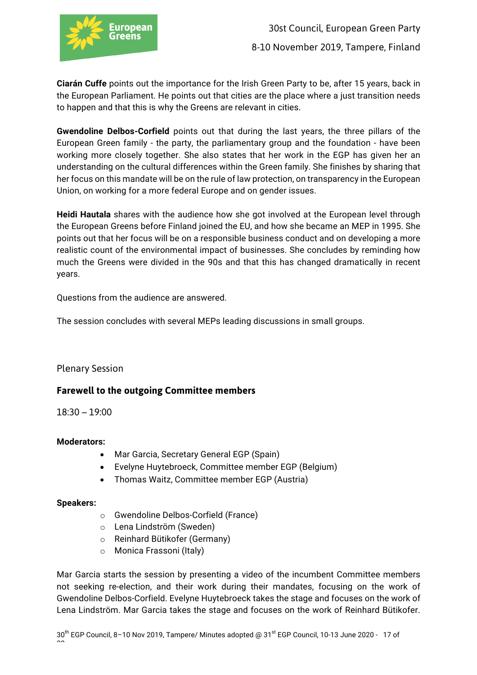

**Ciarán Cuffe** points out the importance for the Irish Green Party to be, after 15 years, back in the European Parliament. He points out that cities are the place where a just transition needs to happen and that this is why the Greens are relevant in cities.

**Gwendoline Delbos-Corfield** points out that during the last years, the three pillars of the European Green family - the party, the parliamentary group and the foundation - have been working more closely together. She also states that her work in the EGP has given her an understanding on the cultural differences within the Green family. She finishes by sharing that her focus on this mandate will be on the rule of law protection, on transparency in the European Union, on working for a more federal Europe and on gender issues.

**Heidi Hautala** shares with the audience how she got involved at the European level through the European Greens before Finland joined the EU, and how she became an MEP in 1995. She points out that her focus will be on a responsible business conduct and on developing a more realistic count of the environmental impact of businesses. She concludes by reminding how much the Greens were divided in the 90s and that this has changed dramatically in recent years.

Questions from the audience are answered.

The session concludes with several MEPs leading discussions in small groups.

# Plenary Session

# **Farewell to the outgoing Committee members**

18:30 – 19:00

#### **Moderators:**

- Mar Garcia, Secretary General EGP (Spain)
- Evelyne Huytebroeck, Committee member EGP (Belgium)
- Thomas Waitz, Committee member EGP (Austria)

#### **Speakers:**

- o Gwendoline Delbos-Corfield (France)
- o Lena Lindström (Sweden)
- o Reinhard Bütikofer (Germany)
- o Monica Frassoni (Italy)

Mar Garcia starts the session by presenting a video of the incumbent Committee members not seeking re-election, and their work during their mandates, focusing on the work of Gwendoline Delbos-Corfield. Evelyne Huytebroeck takes the stage and focuses on the work of Lena Lindström. Mar Garcia takes the stage and focuses on the work of Reinhard Bütikofer.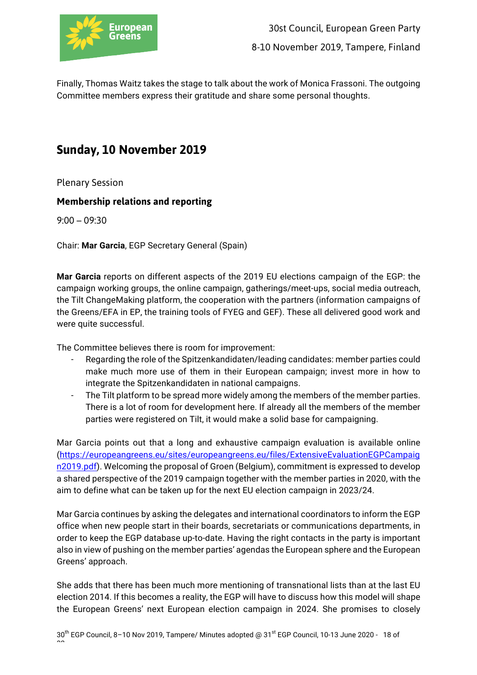

Finally, Thomas Waitz takes the stage to talk about the work of Monica Frassoni. The outgoing Committee members express their gratitude and share some personal thoughts.

# **Sunday, 10 November 2019**

Plenary Session

# **Membership relations and reporting**

9:00 – 09:30

Chair: **Mar Garcia**, EGP Secretary General (Spain)

**Mar Garcia** reports on different aspects of the 2019 EU elections campaign of the EGP: the campaign working groups, the online campaign, gatherings/meet-ups, social media outreach, the Tilt ChangeMaking platform, the cooperation with the partners (information campaigns of the Greens/EFA in EP, the training tools of FYEG and GEF). These all delivered good work and were quite successful.

The Committee believes there is room for improvement:

- Regarding the role of the Spitzenkandidaten/leading candidates: member parties could make much more use of them in their European campaign; invest more in how to integrate the Spitzenkandidaten in national campaigns.
- The Tilt platform to be spread more widely among the members of the member parties. There is a lot of room for development here. If already all the members of the member parties were registered on Tilt, it would make a solid base for campaigning.

Mar Garcia points out that a long and exhaustive campaign evaluation is available online (https://europeangreens.eu/sites/europeangreens.eu/files/ExtensiveEvaluationEGPCampaig n2019.pdf). Welcoming the proposal of Groen (Belgium), commitment is expressed to develop a shared perspective of the 2019 campaign together with the member parties in 2020, with the aim to define what can be taken up for the next EU election campaign in 2023/24.

Mar Garcia continues by asking the delegates and international coordinators to inform the EGP office when new people start in their boards, secretariats or communications departments, in order to keep the EGP database up-to-date. Having the right contacts in the party is important also in view of pushing on the member parties' agendas the European sphere and the European Greens' approach.

She adds that there has been much more mentioning of transnational lists than at the last EU election 2014. If this becomes a reality, the EGP will have to discuss how this model will shape the European Greens' next European election campaign in 2024. She promises to closely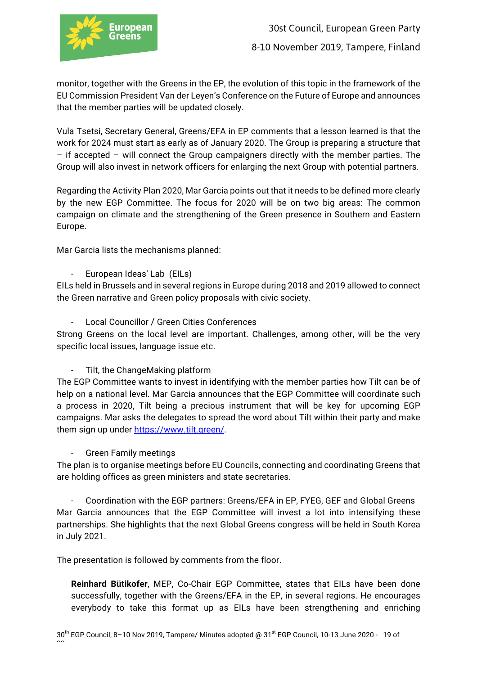

monitor, together with the Greens in the EP, the evolution of this topic in the framework of the EU Commission President Van der Leyen's Conference on the Future of Europe and announces that the member parties will be updated closely.

Vula Tsetsi, Secretary General, Greens/EFA in EP comments that a lesson learned is that the work for 2024 must start as early as of January 2020. The Group is preparing a structure that – if accepted – will connect the Group campaigners directly with the member parties. The Group will also invest in network officers for enlarging the next Group with potential partners.

Regarding the Activity Plan 2020, Mar Garcia points out that it needs to be defined more clearly by the new EGP Committee. The focus for 2020 will be on two big areas: The common campaign on climate and the strengthening of the Green presence in Southern and Eastern Europe.

Mar Garcia lists the mechanisms planned:

- European Ideas' Lab (EILs)

EILs held in Brussels and in several regions in Europe during 2018 and 2019 allowed to connect the Green narrative and Green policy proposals with civic society.

- Local Councillor / Green Cities Conferences

Strong Greens on the local level are important. Challenges, among other, will be the very specific local issues, language issue etc.

- Tilt, the ChangeMaking platform

The EGP Committee wants to invest in identifying with the member parties how Tilt can be of help on a national level. Mar Garcia announces that the EGP Committee will coordinate such a process in 2020, Tilt being a precious instrument that will be key for upcoming EGP campaigns. Mar asks the delegates to spread the word about Tilt within their party and make them sign up under https://www.tilt.green/.

- Green Family meetings

The plan is to organise meetings before EU Councils, connecting and coordinating Greens that are holding offices as green ministers and state secretaries.

- Coordination with the EGP partners: Greens/EFA in EP, FYEG, GEF and Global Greens Mar Garcia announces that the EGP Committee will invest a lot into intensifying these partnerships. She highlights that the next Global Greens congress will be held in South Korea in July 2021.

The presentation is followed by comments from the floor.

**Reinhard Bütikofer**, MEP, Co-Chair EGP Committee, states that EILs have been done successfully, together with the Greens/EFA in the EP, in several regions. He encourages everybody to take this format up as EILs have been strengthening and enriching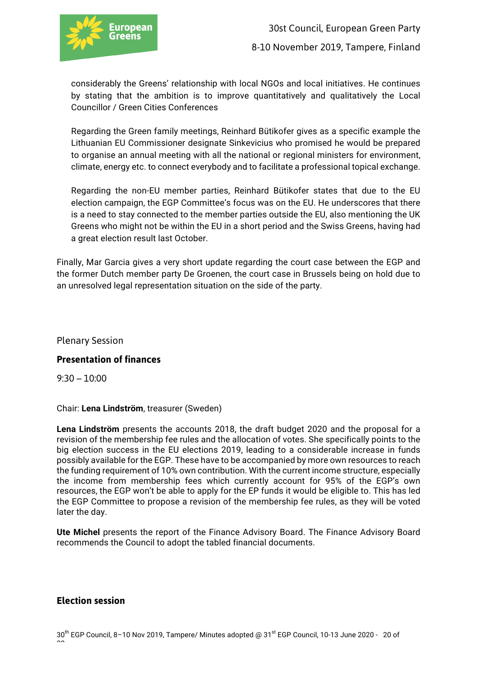

considerably the Greens' relationship with local NGOs and local initiatives. He continues by stating that the ambition is to improve quantitatively and qualitatively the Local Councillor / Green Cities Conferences

Regarding the Green family meetings, Reinhard Bütikofer gives as a specific example the Lithuanian EU Commissioner designate Sinkevicius who promised he would be prepared to organise an annual meeting with all the national or regional ministers for environment, climate, energy etc. to connect everybody and to facilitate a professional topical exchange.

Regarding the non-EU member parties, Reinhard Bütikofer states that due to the EU election campaign, the EGP Committee's focus was on the EU. He underscores that there is a need to stay connected to the member parties outside the EU, also mentioning the UK Greens who might not be within the EU in a short period and the Swiss Greens, having had a great election result last October.

Finally, Mar Garcia gives a very short update regarding the court case between the EGP and the former Dutch member party De Groenen, the court case in Brussels being on hold due to an unresolved legal representation situation on the side of the party.

Plenary Session

# **Presentation of finances**

9:30 – 10:00

Chair: **Lena Lindström**, treasurer (Sweden)

**Lena Lindström** presents the accounts 2018, the draft budget 2020 and the proposal for a revision of the membership fee rules and the allocation of votes. She specifically points to the big election success in the EU elections 2019, leading to a considerable increase in funds possibly available for the EGP. These have to be accompanied by more own resources to reach the funding requirement of 10% own contribution. With the current income structure, especially the income from membership fees which currently account for 95% of the EGP's own resources, the EGP won't be able to apply for the EP funds it would be eligible to. This has led the EGP Committee to propose a revision of the membership fee rules, as they will be voted later the day.

**Ute Michel** presents the report of the Finance Advisory Board. The Finance Advisory Board recommends the Council to adopt the tabled financial documents.

#### **Election session**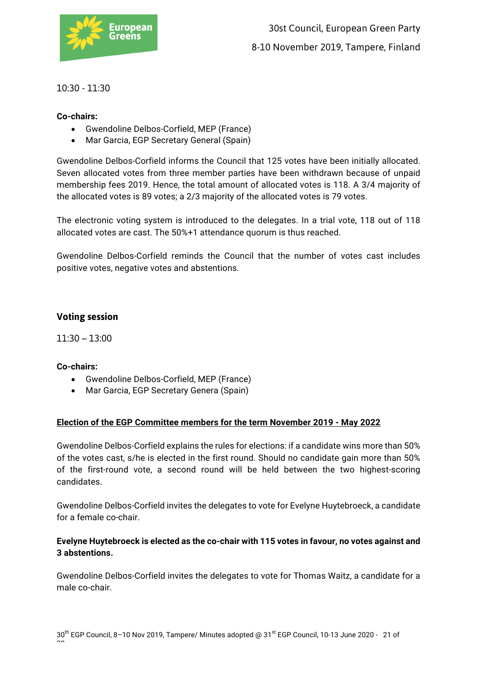

# 10:30 - 11:30

# **Co-chairs:**

- Gwendoline Delbos-Corfield, MEP (France)
- Mar Garcia, EGP Secretary General (Spain)

Gwendoline Delbos-Corfield informs the Council that 125 votes have been initially allocated. Seven allocated votes from three member parties have been withdrawn because of unpaid membership fees 2019. Hence, the total amount of allocated votes is 118. A 3/4 majority of the allocated votes is 89 votes; a 2/3 majority of the allocated votes is 79 votes.

The electronic voting system is introduced to the delegates. In a trial vote, 118 out of 118 allocated votes are cast. The 50%+1 attendance quorum is thus reached.

Gwendoline Delbos-Corfield reminds the Council that the number of votes cast includes positive votes, negative votes and abstentions.

# **Voting session**

11:30 – 13:00

#### **Co-chairs:**

- Gwendoline Delbos-Corfield, MEP (France)
- Mar Garcia, EGP Secretary Genera (Spain)

#### **Election of the EGP Committee members for the term November 2019 - May 2022**

Gwendoline Delbos-Corfield explains the rules for elections: if a candidate wins more than 50% of the votes cast, s/he is elected in the first round. Should no candidate gain more than 50% of the first-round vote, a second round will be held between the two highest-scoring candidates.

Gwendoline Delbos-Corfield invites the delegates to vote for Evelyne Huytebroeck, a candidate for a female co-chair.

# **Evelyne Huytebroeck is elected as the co-chair with 115 votes in favour, no votes against and 3 abstentions.**

Gwendoline Delbos-Corfield invites the delegates to vote for Thomas Waitz, a candidate for a male co-chair.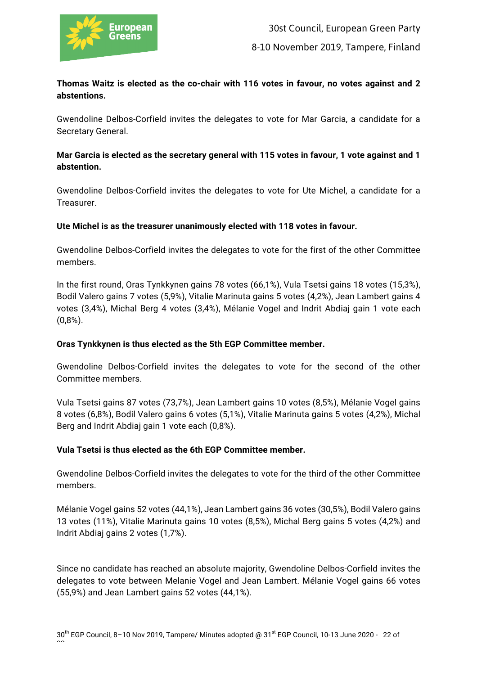

# **Thomas Waitz is elected as the co-chair with 116 votes in favour, no votes against and 2 abstentions.**

Gwendoline Delbos-Corfield invites the delegates to vote for Mar Garcia, a candidate for a Secretary General.

# **Mar Garcia is elected as the secretary general with 115 votes in favour, 1 vote against and 1 abstention.**

Gwendoline Delbos-Corfield invites the delegates to vote for Ute Michel, a candidate for a Treasurer.

## **Ute Michel is as the treasurer unanimously elected with 118 votes in favour.**

Gwendoline Delbos-Corfield invites the delegates to vote for the first of the other Committee members.

In the first round, Oras Tynkkynen gains 78 votes (66,1%), Vula Tsetsi gains 18 votes (15,3%), Bodil Valero gains 7 votes (5,9%), Vitalie Marinuta gains 5 votes (4,2%), Jean Lambert gains 4 votes (3,4%), Michal Berg 4 votes (3,4%), Mélanie Vogel and Indrit Abdiaj gain 1 vote each  $(0.8\%)$ .

#### **Oras Tynkkynen is thus elected as the 5th EGP Committee member.**

Gwendoline Delbos-Corfield invites the delegates to vote for the second of the other Committee members.

Vula Tsetsi gains 87 votes (73,7%), Jean Lambert gains 10 votes (8,5%), Mélanie Vogel gains 8 votes (6,8%), Bodil Valero gains 6 votes (5,1%), Vitalie Marinuta gains 5 votes (4,2%), Michal Berg and Indrit Abdiaj gain 1 vote each (0,8%).

# **Vula Tsetsi is thus elected as the 6th EGP Committee member.**

Gwendoline Delbos-Corfield invites the delegates to vote for the third of the other Committee members.

Mélanie Vogel gains 52 votes (44,1%), Jean Lambert gains 36 votes (30,5%), Bodil Valero gains 13 votes (11%), Vitalie Marinuta gains 10 votes (8,5%), Michal Berg gains 5 votes (4,2%) and Indrit Abdiaj gains 2 votes (1,7%).

Since no candidate has reached an absolute majority, Gwendoline Delbos-Corfield invites the delegates to vote between Melanie Vogel and Jean Lambert. Mélanie Vogel gains 66 votes (55,9%) and Jean Lambert gains 52 votes (44,1%).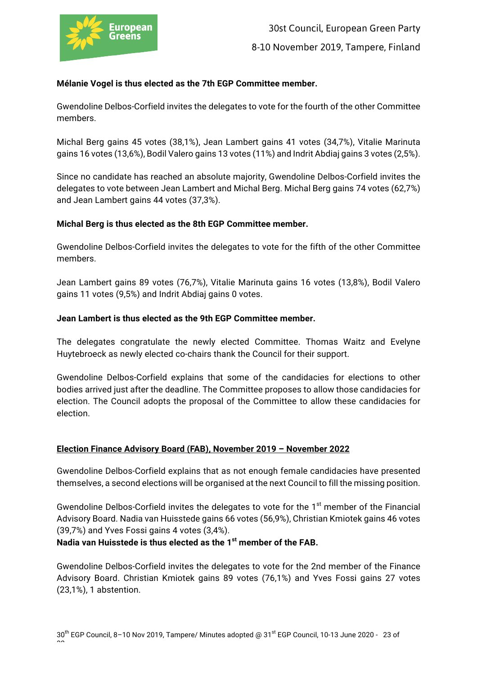

# **Mélanie Vogel is thus elected as the 7th EGP Committee member.**

Gwendoline Delbos-Corfield invites the delegates to vote for the fourth of the other Committee members.

Michal Berg gains 45 votes (38,1%), Jean Lambert gains 41 votes (34,7%), Vitalie Marinuta gains 16 votes (13,6%), Bodil Valero gains 13 votes (11%) and Indrit Abdiaj gains 3 votes (2,5%).

Since no candidate has reached an absolute majority, Gwendoline Delbos-Corfield invites the delegates to vote between Jean Lambert and Michal Berg. Michal Berg gains 74 votes (62,7%) and Jean Lambert gains 44 votes (37,3%).

## **Michal Berg is thus elected as the 8th EGP Committee member.**

Gwendoline Delbos-Corfield invites the delegates to vote for the fifth of the other Committee members.

Jean Lambert gains 89 votes (76,7%), Vitalie Marinuta gains 16 votes (13,8%), Bodil Valero gains 11 votes (9,5%) and Indrit Abdiaj gains 0 votes.

## **Jean Lambert is thus elected as the 9th EGP Committee member.**

The delegates congratulate the newly elected Committee. Thomas Waitz and Evelyne Huytebroeck as newly elected co-chairs thank the Council for their support.

Gwendoline Delbos-Corfield explains that some of the candidacies for elections to other bodies arrived just after the deadline. The Committee proposes to allow those candidacies for election. The Council adopts the proposal of the Committee to allow these candidacies for election.

# **Election Finance Advisory Board (FAB), November 2019 – November 2022**

Gwendoline Delbos-Corfield explains that as not enough female candidacies have presented themselves, a second elections will be organised at the next Council to fill the missing position.

Gwendoline Delbos-Corfield invites the delegates to vote for the 1<sup>st</sup> member of the Financial Advisory Board. Nadia van Huisstede gains 66 votes (56,9%), Christian Kmiotek gains 46 votes (39,7%) and Yves Fossi gains 4 votes (3,4%).

#### **Nadia van Huisstede is thus elected as the 1st member of the FAB.**

Gwendoline Delbos-Corfield invites the delegates to vote for the 2nd member of the Finance Advisory Board. Christian Kmiotek gains 89 votes (76,1%) and Yves Fossi gains 27 votes (23,1%), 1 abstention.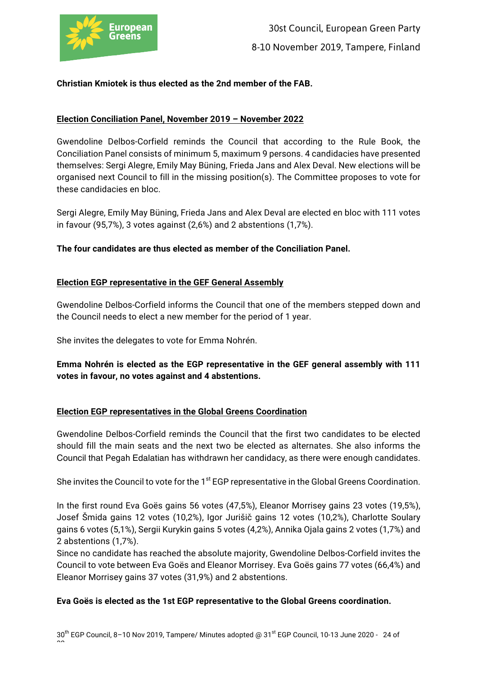

# **Christian Kmiotek is thus elected as the 2nd member of the FAB.**

# **Election Conciliation Panel, November 2019 – November 2022**

Gwendoline Delbos-Corfield reminds the Council that according to the Rule Book, the Conciliation Panel consists of minimum 5, maximum 9 persons. 4 candidacies have presented themselves: Sergi Alegre, Emily May Büning, Frieda Jans and Alex Deval. New elections will be organised next Council to fill in the missing position(s). The Committee proposes to vote for these candidacies en bloc.

Sergi Alegre, Emily May Büning, Frieda Jans and Alex Deval are elected en bloc with 111 votes in favour (95,7%), 3 votes against (2,6%) and 2 abstentions (1,7%).

**The four candidates are thus elected as member of the Conciliation Panel.**

## **Election EGP representative in the GEF General Assembly**

Gwendoline Delbos-Corfield informs the Council that one of the members stepped down and the Council needs to elect a new member for the period of 1 year.

She invites the delegates to vote for Emma Nohrén.

# **Emma Nohrén is elected as the EGP representative in the GEF general assembly with 111 votes in favour, no votes against and 4 abstentions.**

#### **Election EGP representatives in the Global Greens Coordination**

Gwendoline Delbos-Corfield reminds the Council that the first two candidates to be elected should fill the main seats and the next two be elected as alternates. She also informs the Council that Pegah Edalatian has withdrawn her candidacy, as there were enough candidates.

She invites the Council to vote for the 1<sup>st</sup> EGP representative in the Global Greens Coordination.

In the first round Eva Goës gains 56 votes (47,5%), Eleanor Morrisey gains 23 votes (19,5%), Josef Šmida gains 12 votes (10,2%), Igor Jurišič gains 12 votes (10,2%), Charlotte Soulary gains 6 votes (5,1%), Sergii Kurykin gains 5 votes (4,2%), Annika Ojala gains 2 votes (1,7%) and 2 abstentions (1,7%).

Since no candidate has reached the absolute majority, Gwendoline Delbos-Corfield invites the Council to vote between Eva Goës and Eleanor Morrisey. Eva Goës gains 77 votes (66,4%) and Eleanor Morrisey gains 37 votes (31,9%) and 2 abstentions.

#### **Eva Goës is elected as the 1st EGP representative to the Global Greens coordination.**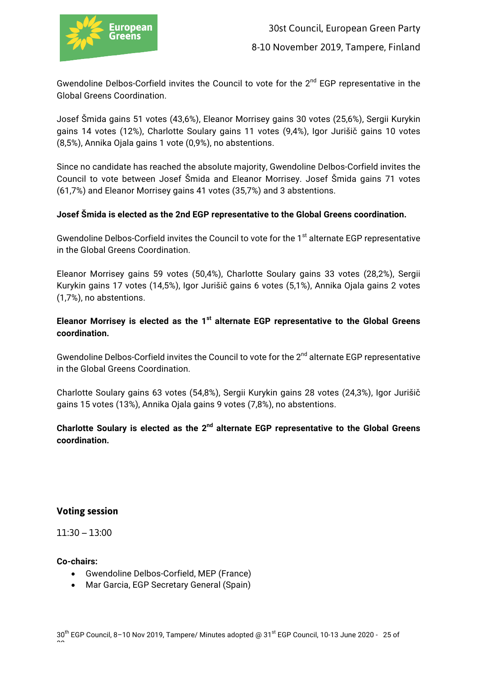

Gwendoline Delbos-Corfield invites the Council to vote for the 2<sup>nd</sup> EGP representative in the Global Greens Coordination.

Josef Šmida gains 51 votes (43,6%), Eleanor Morrisey gains 30 votes (25,6%), Sergii Kurykin gains 14 votes (12%), Charlotte Soulary gains 11 votes (9,4%), Igor Jurišič gains 10 votes (8,5%), Annika Ojala gains 1 vote (0,9%), no abstentions.

Since no candidate has reached the absolute majority, Gwendoline Delbos-Corfield invites the Council to vote between Josef Šmida and Eleanor Morrisey. Josef Šmida gains 71 votes (61,7%) and Eleanor Morrisey gains 41 votes (35,7%) and 3 abstentions.

## **Josef Šmida is elected as the 2nd EGP representative to the Global Greens coordination.**

Gwendoline Delbos-Corfield invites the Council to vote for the 1<sup>st</sup> alternate EGP representative in the Global Greens Coordination.

Eleanor Morrisey gains 59 votes (50,4%), Charlotte Soulary gains 33 votes (28,2%), Sergii Kurykin gains 17 votes (14,5%), Igor Jurišič gains 6 votes (5,1%), Annika Ojala gains 2 votes (1,7%), no abstentions.

**Eleanor Morrisey is elected as the 1st alternate EGP representative to the Global Greens coordination.** 

Gwendoline Delbos-Corfield invites the Council to vote for the 2<sup>nd</sup> alternate EGP representative in the Global Greens Coordination.

Charlotte Soulary gains 63 votes (54,8%), Sergii Kurykin gains 28 votes (24,3%), Igor Jurišič gains 15 votes (13%), Annika Ojala gains 9 votes (7,8%), no abstentions.

**Charlotte Soulary is elected as the 2nd alternate EGP representative to the Global Greens coordination.** 

# **Voting session**

11:30 – 13:00

**Co-chairs:**

- Gwendoline Delbos-Corfield, MEP (France)
- Mar Garcia, EGP Secretary General (Spain)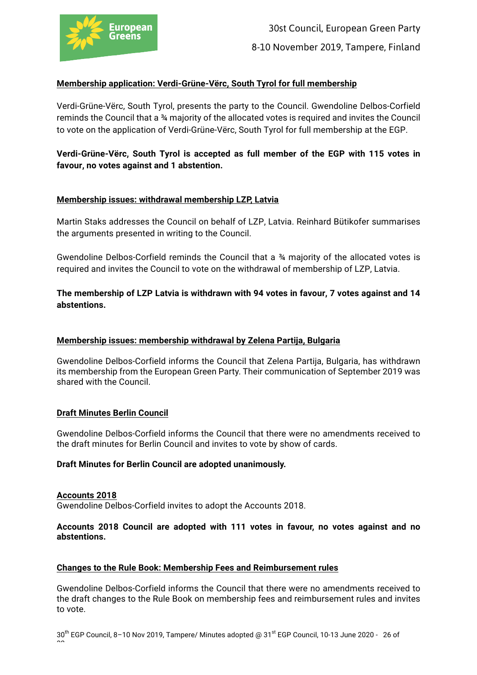

# **Membership application: Verdi-Grüne-Vërc, South Tyrol for full membership**

Verdi-Grüne-Vërc, South Tyrol, presents the party to the Council. Gwendoline Delbos-Corfield reminds the Council that a ¾ majority of the allocated votes is required and invites the Council to vote on the application of Verdi-Grüne-Vërc, South Tyrol for full membership at the EGP.

**Verdi-Grüne-Vërc, South Tyrol is accepted as full member of the EGP with 115 votes in favour, no votes against and 1 abstention.** 

#### **Membership issues: withdrawal membership LZP, Latvia**

Martin Staks addresses the Council on behalf of LZP, Latvia. Reinhard Bütikofer summarises the arguments presented in writing to the Council.

Gwendoline Delbos-Corfield reminds the Council that a  $\frac{34}{4}$  majority of the allocated votes is required and invites the Council to vote on the withdrawal of membership of LZP, Latvia.

**The membership of LZP Latvia is withdrawn with 94 votes in favour, 7 votes against and 14 abstentions.** 

#### **Membership issues: membership withdrawal by Zelena Partija, Bulgaria**

Gwendoline Delbos-Corfield informs the Council that Zelena Partija, Bulgaria, has withdrawn its membership from the European Green Party. Their communication of September 2019 was shared with the Council.

#### **Draft Minutes Berlin Council**

Gwendoline Delbos-Corfield informs the Council that there were no amendments received to the draft minutes for Berlin Council and invites to vote by show of cards.

#### **Draft Minutes for Berlin Council are adopted unanimously.**

#### **Accounts 2018**

Gwendoline Delbos-Corfield invites to adopt the Accounts 2018.

#### **Accounts 2018 Council are adopted with 111 votes in favour, no votes against and no abstentions.**

#### **Changes to the Rule Book: Membership Fees and Reimbursement rules**

Gwendoline Delbos-Corfield informs the Council that there were no amendments received to the draft changes to the Rule Book on membership fees and reimbursement rules and invites to vote.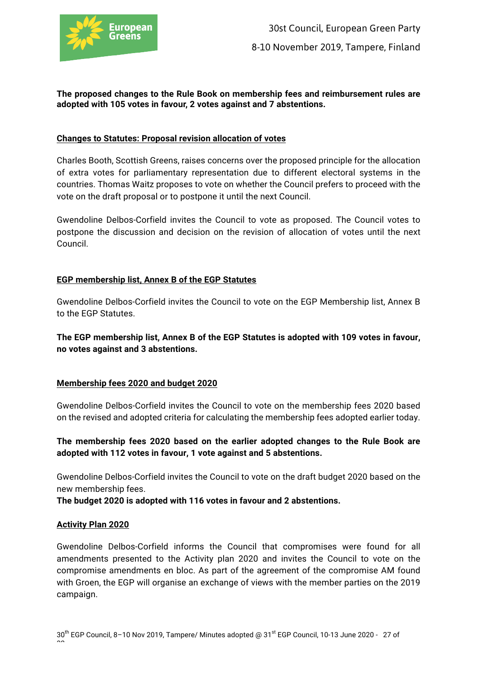

#### **The proposed changes to the Rule Book on membership fees and reimbursement rules are adopted with 105 votes in favour, 2 votes against and 7 abstentions.**

#### **Changes to Statutes: Proposal revision allocation of votes**

Charles Booth, Scottish Greens, raises concerns over the proposed principle for the allocation of extra votes for parliamentary representation due to different electoral systems in the countries. Thomas Waitz proposes to vote on whether the Council prefers to proceed with the vote on the draft proposal or to postpone it until the next Council.

Gwendoline Delbos-Corfield invites the Council to vote as proposed. The Council votes to postpone the discussion and decision on the revision of allocation of votes until the next Council.

## **EGP membership list, Annex B of the EGP Statutes**

Gwendoline Delbos-Corfield invites the Council to vote on the EGP Membership list, Annex B to the EGP Statutes.

**The EGP membership list, Annex B of the EGP Statutes is adopted with 109 votes in favour, no votes against and 3 abstentions.**

#### **Membership fees 2020 and budget 2020**

Gwendoline Delbos-Corfield invites the Council to vote on the membership fees 2020 based on the revised and adopted criteria for calculating the membership fees adopted earlier today.

**The membership fees 2020 based on the earlier adopted changes to the Rule Book are adopted with 112 votes in favour, 1 vote against and 5 abstentions.**

Gwendoline Delbos-Corfield invites the Council to vote on the draft budget 2020 based on the new membership fees.

**The budget 2020 is adopted with 116 votes in favour and 2 abstentions.**

#### **Activity Plan 2020**

Gwendoline Delbos-Corfield informs the Council that compromises were found for all amendments presented to the Activity plan 2020 and invites the Council to vote on the compromise amendments en bloc. As part of the agreement of the compromise AM found with Groen, the EGP will organise an exchange of views with the member parties on the 2019 campaign.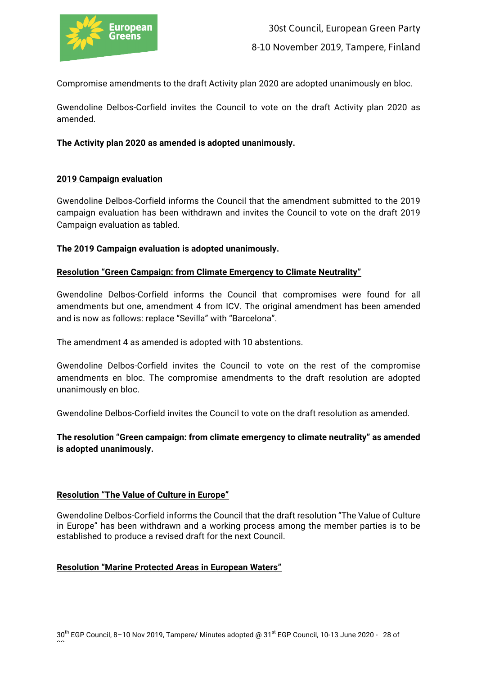

Compromise amendments to the draft Activity plan 2020 are adopted unanimously en bloc.

Gwendoline Delbos-Corfield invites the Council to vote on the draft Activity plan 2020 as amended.

## **The Activity plan 2020 as amended is adopted unanimously.**

## **2019 Campaign evaluation**

Gwendoline Delbos-Corfield informs the Council that the amendment submitted to the 2019 campaign evaluation has been withdrawn and invites the Council to vote on the draft 2019 Campaign evaluation as tabled.

## **The 2019 Campaign evaluation is adopted unanimously.**

## **Resolution "Green Campaign: from Climate Emergency to Climate Neutrality"**

Gwendoline Delbos-Corfield informs the Council that compromises were found for all amendments but one, amendment 4 from ICV. The original amendment has been amended and is now as follows: replace "Sevilla" with "Barcelona".

The amendment 4 as amended is adopted with 10 abstentions.

Gwendoline Delbos-Corfield invites the Council to vote on the rest of the compromise amendments en bloc. The compromise amendments to the draft resolution are adopted unanimously en bloc.

Gwendoline Delbos-Corfield invites the Council to vote on the draft resolution as amended.

**The resolution "Green campaign: from climate emergency to climate neutrality" as amended is adopted unanimously.**

#### **Resolution "The Value of Culture in Europe"**

Gwendoline Delbos-Corfield informs the Council that the draft resolution "The Value of Culture in Europe" has been withdrawn and a working process among the member parties is to be established to produce a revised draft for the next Council.

#### **Resolution "Marine Protected Areas in European Waters"**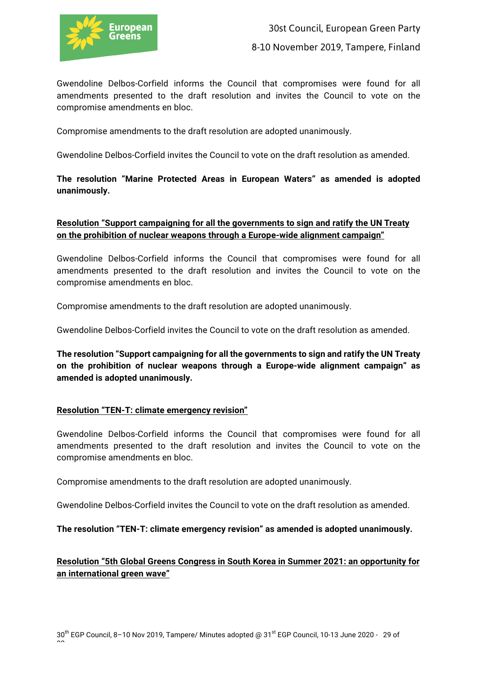

Gwendoline Delbos-Corfield informs the Council that compromises were found for all amendments presented to the draft resolution and invites the Council to vote on the compromise amendments en bloc.

Compromise amendments to the draft resolution are adopted unanimously.

Gwendoline Delbos-Corfield invites the Council to vote on the draft resolution as amended.

# **The resolution "Marine Protected Areas in European Waters" as amended is adopted unanimously.**

# **Resolution "Support campaigning for all the governments to sign and ratify the UN Treaty on the prohibition of nuclear weapons through a Europe-wide alignment campaign"**

Gwendoline Delbos-Corfield informs the Council that compromises were found for all amendments presented to the draft resolution and invites the Council to vote on the compromise amendments en bloc.

Compromise amendments to the draft resolution are adopted unanimously.

Gwendoline Delbos-Corfield invites the Council to vote on the draft resolution as amended.

**The resolution "Support campaigning for all the governments to sign and ratify the UN Treaty on the prohibition of nuclear weapons through a Europe-wide alignment campaign" as amended is adopted unanimously.** 

# **Resolution "TEN-T: climate emergency revision"**

Gwendoline Delbos-Corfield informs the Council that compromises were found for all amendments presented to the draft resolution and invites the Council to vote on the compromise amendments en bloc.

Compromise amendments to the draft resolution are adopted unanimously.

Gwendoline Delbos-Corfield invites the Council to vote on the draft resolution as amended.

**The resolution "TEN-T: climate emergency revision" as amended is adopted unanimously.** 

# **Resolution "5th Global Greens Congress in South Korea in Summer 2021: an opportunity for an international green wave"**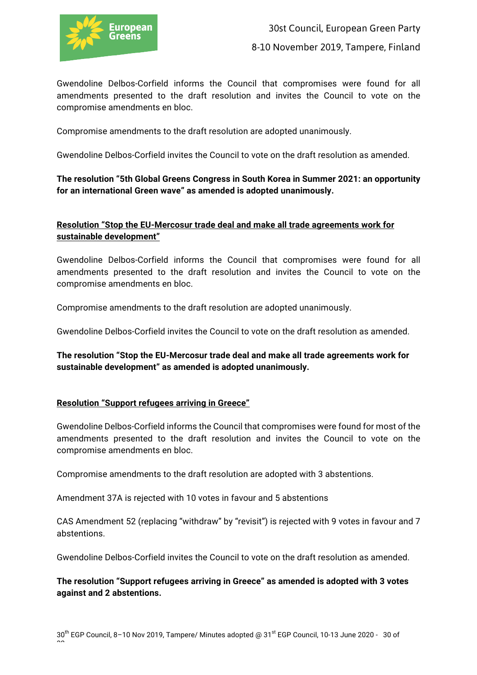

Gwendoline Delbos-Corfield informs the Council that compromises were found for all amendments presented to the draft resolution and invites the Council to vote on the compromise amendments en bloc.

Compromise amendments to the draft resolution are adopted unanimously.

Gwendoline Delbos-Corfield invites the Council to vote on the draft resolution as amended.

# **The resolution "5th Global Greens Congress in South Korea in Summer 2021: an opportunity for an international Green wave" as amended is adopted unanimously.**

# **Resolution "Stop the EU-Mercosur trade deal and make all trade agreements work for sustainable development"**

Gwendoline Delbos-Corfield informs the Council that compromises were found for all amendments presented to the draft resolution and invites the Council to vote on the compromise amendments en bloc.

Compromise amendments to the draft resolution are adopted unanimously.

Gwendoline Delbos-Corfield invites the Council to vote on the draft resolution as amended.

**The resolution "Stop the EU-Mercosur trade deal and make all trade agreements work for sustainable development" as amended is adopted unanimously.** 

#### **Resolution "Support refugees arriving in Greece"**

Gwendoline Delbos-Corfield informs the Council that compromises were found for most of the amendments presented to the draft resolution and invites the Council to vote on the compromise amendments en bloc.

Compromise amendments to the draft resolution are adopted with 3 abstentions.

Amendment 37A is rejected with 10 votes in favour and 5 abstentions

CAS Amendment 52 (replacing "withdraw" by "revisit") is rejected with 9 votes in favour and 7 abstentions.

Gwendoline Delbos-Corfield invites the Council to vote on the draft resolution as amended.

**The resolution "Support refugees arriving in Greece" as amended is adopted with 3 votes against and 2 abstentions.**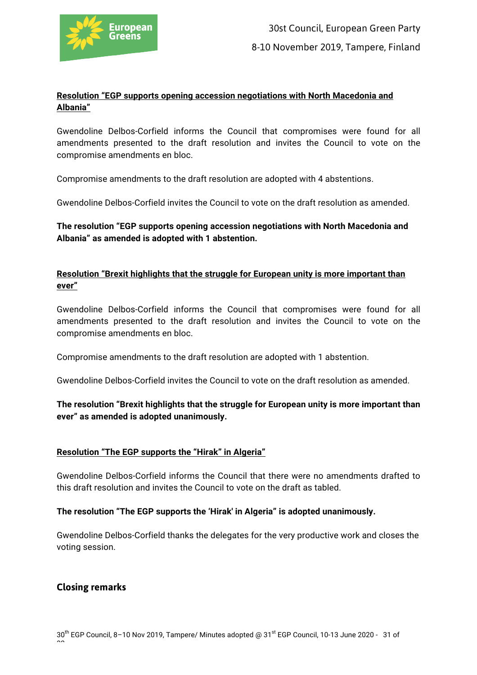

# **Resolution "EGP supports opening accession negotiations with North Macedonia and Albania"**

Gwendoline Delbos-Corfield informs the Council that compromises were found for all amendments presented to the draft resolution and invites the Council to vote on the compromise amendments en bloc.

Compromise amendments to the draft resolution are adopted with 4 abstentions.

Gwendoline Delbos-Corfield invites the Council to vote on the draft resolution as amended.

**The resolution "EGP supports opening accession negotiations with North Macedonia and Albania" as amended is adopted with 1 abstention.** 

# **Resolution "Brexit highlights that the struggle for European unity is more important than ever"**

Gwendoline Delbos-Corfield informs the Council that compromises were found for all amendments presented to the draft resolution and invites the Council to vote on the compromise amendments en bloc.

Compromise amendments to the draft resolution are adopted with 1 abstention.

Gwendoline Delbos-Corfield invites the Council to vote on the draft resolution as amended.

# **The resolution "Brexit highlights that the struggle for European unity is more important than ever" as amended is adopted unanimously.**

# **Resolution "The EGP supports the "Hirak" in Algeria"**

Gwendoline Delbos-Corfield informs the Council that there were no amendments drafted to this draft resolution and invites the Council to vote on the draft as tabled.

#### **The resolution "The EGP supports the 'Hirak' in Algeria" is adopted unanimously.**

Gwendoline Delbos-Corfield thanks the delegates for the very productive work and closes the voting session.

# **Closing remarks**